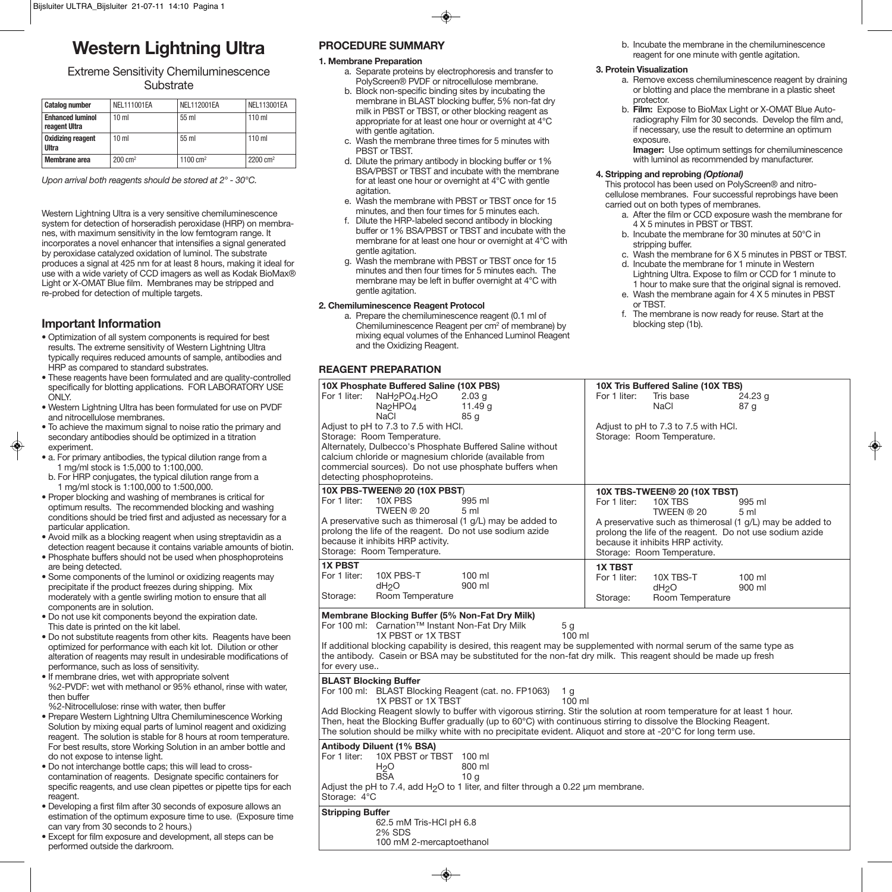# **Western Lightning Ultra**

## Extreme Sensitivity Chemiluminescence **Substrate**

| <b>Catalog number</b>                    | NEL111001EA        | <b>NEL112001EA</b> | <b>NEL113001EA</b>  |
|------------------------------------------|--------------------|--------------------|---------------------|
| <b>Enhanced luminol</b><br>reagent Ultra | 10 <sub>m</sub>    | 55 ml              | $110$ ml            |
| <b>Oxidizing reagent</b><br>Ultra        | 10 <sub>m</sub>    | $55 \text{ ml}$    | $110 \text{ ml}$    |
| Membrane area                            | $200 \text{ cm}^2$ | 1100 $cm2$         | $2200 \text{ cm}^2$ |

*Upon arrival both reagents should be stored at 2° - 30°C.*

Western Lightning Ultra is a very sensitive chemiluminescence system for detection of horseradish peroxidase (HRP) on membranes, with maximum sensitivity in the low femtogram range. It incorporates a novel enhancer that intensifies a signal generated by peroxidase catalyzed oxidation of luminol. The substrate produces a signal at 425 nm for at least 8 hours, making it ideal for use with a wide variety of CCD imagers as well as Kodak BioMax® Light or X-OMAT Blue film. Membranes may be stripped and re-probed for detection of multiple targets.

## **Important Information**

- Optimization of all system components is required for best results. The extreme sensitivity of Western Lightning Ultra typically requires reduced amounts of sample, antibodies and HRP as compared to standard substrates.
- These reagents have been formulated and are quality-controlled specifically for blotting applications. FOR LABORATORY USE ONLY.
- Western Lightning Ultra has been formulated for use on PVDF and nitrocellulose membranes.
- To achieve the maximum signal to noise ratio the primary and secondary antibodies should be optimized in a titration experiment.
- a. For primary antibodies, the typical dilution range from a 1 mg/ml stock is 1:5,000 to 1:100,000.
- b. For HRP conjugates, the typical dilution range from a 1 mg/ml stock is 1:100,000 to 1:500,000.
- Proper blocking and washing of membranes is critical for optimum results. The recommended blocking and washing conditions should be tried first and adjusted as necessary for a particular application.
- Avoid milk as a blocking reagent when using streptavidin as a detection reagent because it contains variable amounts of biotin.
- Phosphate buffers should not be used when phosphoproteins are being detected.
- Some components of the luminol or oxidizing reagents may precipitate if the product freezes during shipping. Mix moderately with a gentle swirling motion to ensure that all components are in solution.
- Do not use kit components beyond the expiration date. This date is printed on the kit label.
- Do not substitute reagents from other kits. Reagents have been optimized for performance with each kit lot. Dilution or other alteration of reagents may result in undesirable modifications of performance, such as loss of sensitivity.
- If membrane dries, wet with appropriate solvent %2-PVDF: wet with methanol or 95% ethanol, rinse with water, then buffer

%2-Nitrocellulose: rinse with water, then buffer

- Prepare Western Lightning Ultra Chemiluminescence Working Solution by mixing equal parts of luminol reagent and oxidizing reagent. The solution is stable for 8 hours at room temperature. For best results, store Working Solution in an amber bottle and do not expose to intense light.
- Do not interchange bottle caps; this will lead to crosscontamination of reagents. Designate specific containers for specific reagents, and use clean pipettes or pipette tips for each reagent.
- Developing a first film after 30 seconds of exposure allows an estimation of the optimum exposure time to use. (Exposure time can vary from 30 seconds to 2 hours.)
- Except for film exposure and development, all steps can be performed outside the darkroom.

## **PROCEDURE SUMMARY**

## **1. Membrane Preparation**

- a. Separate proteins by electrophoresis and transfer to PolyScreen® PVDF or nitrocellulose membrane.
- b. Block non-specific binding sites by incubating the membrane in BLAST blocking buffer, 5% non-fat dry milk in PBST or TBST, or other blocking reagent as appropriate for at least one hour or overnight at 4°C with gentle agitation.
- c. Wash the membrane three times for 5 minutes with PBST or TBST.
- d. Dilute the primary antibody in blocking buffer or 1% BSA/PBST or TBST and incubate with the membrane for at least one hour or overnight at 4°C with gentle agitation.
- e. Wash the membrane with PBST or TBST once for 15 minutes, and then four times for 5 minutes each.
- f. Dilute the HRP-labeled second antibody in blocking buffer or 1% BSA/PBST or TBST and incubate with the membrane for at least one hour or overnight at 4°C with gentle agitation.
- g. Wash the membrane with PBST or TBST once for 15 minutes and then four times for 5 minutes each. The membrane may be left in buffer overnight at 4°C with gentle agitation.

## **2. Chemiluminescence Reagent Protocol**

a. Prepare the chemiluminescence reagent (0.1 ml of Chemiluminescence Reagent per cm2 of membrane) by mixing equal volumes of the Enhanced Luminol Reagent and the Oxidizing Reagent.

## **REAGENT PREPARATION**

| 10X Phosphate Buffered Saline (10X PBS)<br>For 1 liter:<br>NaH <sub>2</sub> PO <sub>4</sub> .H <sub>2</sub> O<br>2.03 <sub>g</sub><br>11.49 g<br>Na <sub>2</sub> HPO <sub>4</sub><br><b>NaCl</b><br>85q                                                                                                                                                                                                                                                                                      | 10X Tris Buffered Saline (10X TBS)<br>For 1 liter:<br>Tris base<br>24.23 g<br><b>NaCl</b><br>87 g                                                                                                                                                                                             |
|----------------------------------------------------------------------------------------------------------------------------------------------------------------------------------------------------------------------------------------------------------------------------------------------------------------------------------------------------------------------------------------------------------------------------------------------------------------------------------------------|-----------------------------------------------------------------------------------------------------------------------------------------------------------------------------------------------------------------------------------------------------------------------------------------------|
| Adjust to pH to 7.3 to 7.5 with HCl.<br>Storage: Room Temperature.<br>Alternately, Dulbecco's Phosphate Buffered Saline without<br>calcium chloride or magnesium chloride (available from<br>commercial sources). Do not use phosphate buffers when<br>detecting phosphoproteins.                                                                                                                                                                                                            | Adjust to pH to 7.3 to 7.5 with HCl.<br>Storage: Room Temperature.                                                                                                                                                                                                                            |
| 10X PBS-TWEEN® 20 (10X PBST)<br>10X PBS<br>For 1 liter:<br>995 ml<br>TWEEN ® 20<br>5 <sub>m</sub><br>A preservative such as thimerosal (1 g/L) may be added to<br>prolong the life of the reagent. Do not use sodium azide<br>because it inhibits HRP activity.<br>Storage: Room Temperature.                                                                                                                                                                                                | 10X TBS-TWEEN® 20 (10X TBST)<br>For 1 liter:<br>10X TBS<br>995 ml<br>TWEEN ® 20<br>5 <sub>m</sub><br>A preservative such as thimerosal (1 g/L) may be added to<br>prolong the life of the reagent. Do not use sodium azide<br>because it inhibits HRP activity.<br>Storage: Room Temperature. |
| <b>1X PBST</b><br>For 1 liter:<br>10X PBS-T<br>$100$ ml<br>900 ml<br>dH <sub>2</sub> O<br>Room Temperature<br>Storage:                                                                                                                                                                                                                                                                                                                                                                       | <b>1X TBST</b><br>For 1 liter:<br>$100 \mathrm{ml}$<br>10X TBS-T<br>900 ml<br>dH <sub>2</sub> O<br>Room Temperature<br>Storage:                                                                                                                                                               |
| Membrane Blocking Buffer (5% Non-Fat Dry Milk)<br>For 100 ml: Carnation™ Instant Non-Fat Dry Milk<br>5 <sub>g</sub><br>$100$ ml<br>1X PBST or 1X TBST<br>If additional blocking capability is desired, this reagent may be supplemented with normal serum of the same type as<br>the antibody. Casein or BSA may be substituted for the non-fat dry milk. This reagent should be made up fresh<br>for every use                                                                              |                                                                                                                                                                                                                                                                                               |
| <b>BLAST Blocking Buffer</b><br>For 100 ml: BLAST Blocking Reagent (cat. no. FP1063)<br>1 g<br>1X PBST or 1X TBST<br>100 ml<br>Add Blocking Reagent slowly to buffer with vigorous stirring. Stir the solution at room temperature for at least 1 hour.<br>Then, heat the Blocking Buffer gradually (up to 60°C) with continuous stirring to dissolve the Blocking Reagent.<br>The solution should be milky white with no precipitate evident. Aliquot and store at -20°C for long term use. |                                                                                                                                                                                                                                                                                               |
| Antibody Diluent (1% BSA)<br>For 1 liter:<br>10X PBST or TBST 100 ml<br>H <sub>2</sub> O<br>800 ml<br><b>BSA</b><br>10 <sub>q</sub><br>Adjust the pH to 7.4, add H <sub>2</sub> O to 1 liter, and filter through a 0.22 um membrane.<br>Storage: 4°C                                                                                                                                                                                                                                         |                                                                                                                                                                                                                                                                                               |
| <b>Stripping Buffer</b><br>62.5 mM Tris-HCl pH 6.8<br>2% SDS                                                                                                                                                                                                                                                                                                                                                                                                                                 |                                                                                                                                                                                                                                                                                               |

100 mM 2-mercaptoethanol

b. Incubate the membrane in the chemiluminescence reagent for one minute with gentle agitation.

#### **3. Protein Visualization**

- a. Remove excess chemiluminescence reagent by draining or blotting and place the membrane in a plastic sheet protector.
- b. **Film:** Expose to BioMax Light or X-OMAT Blue Autoradiography Film for 30 seconds. Develop the film and, if necessary, use the result to determine an optimum exposure.

**Imager:** Use optimum settings for chemiluminescence with luminol as recommended by manufacturer.

## **4. Stripping and reprobing** *(Optional)*

This protocol has been used on PolyScreen® and nitrocellulose membranes. Four successful reprobings have been carried out on both types of membranes.

- a. After the film or CCD exposure wash the membrane for 4 X 5 minutes in PBST or TBST.
- b. Incubate the membrane for 30 minutes at 50°C in stripping buffer.
- c. Wash the membrane for 6 X 5 minutes in PBST or TBST.
- d. Incubate the membrane for 1 minute in Western Lightning Ultra. Expose to film or CCD for 1 minute to 1 hour to make sure that the original signal is removed.
- e. Wash the membrane again for 4 X 5 minutes in PBST or TBST.
- f. The membrane is now ready for reuse. Start at the blocking step (1b).